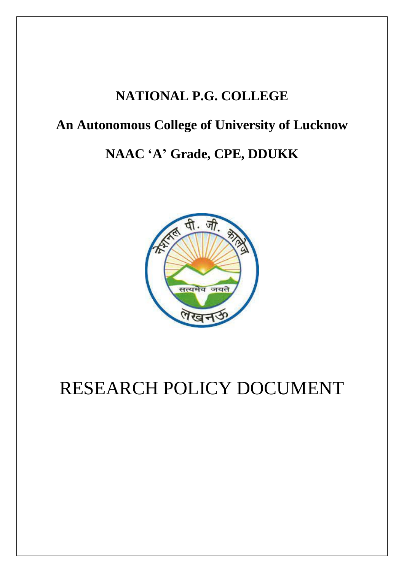## **NATIONAL P.G. COLLEGE**

## **An Autonomous College of University of Lucknow**

## **NAAC 'A' Grade, CPE, DDUKK**



# RESEARCH POLICY DOCUMENT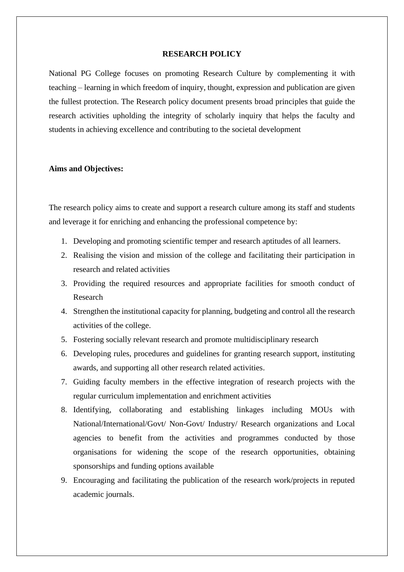#### **RESEARCH POLICY**

National PG College focuses on promoting Research Culture by complementing it with teaching – learning in which freedom of inquiry, thought, expression and publication are given the fullest protection. The Research policy document presents broad principles that guide the research activities upholding the integrity of scholarly inquiry that helps the faculty and students in achieving excellence and contributing to the societal development

### **Aims and Objectives:**

The research policy aims to create and support a research culture among its staff and students and leverage it for enriching and enhancing the professional competence by:

- 1. Developing and promoting scientific temper and research aptitudes of all learners.
- 2. Realising the vision and mission of the college and facilitating their participation in research and related activities
- 3. Providing the required resources and appropriate facilities for smooth conduct of Research
- 4. Strengthen the institutional capacity for planning, budgeting and control all the research activities of the college.
- 5. Fostering socially relevant research and promote multidisciplinary research
- 6. Developing rules, procedures and guidelines for granting research support, instituting awards, and supporting all other research related activities.
- 7. Guiding faculty members in the effective integration of research projects with the regular curriculum implementation and enrichment activities
- 8. Identifying, collaborating and establishing linkages including MOUs with National/International/Govt/ Non-Govt/ Industry/ Research organizations and Local agencies to benefit from the activities and programmes conducted by those organisations for widening the scope of the research opportunities, obtaining sponsorships and funding options available
- 9. Encouraging and facilitating the publication of the research work/projects in reputed academic journals.